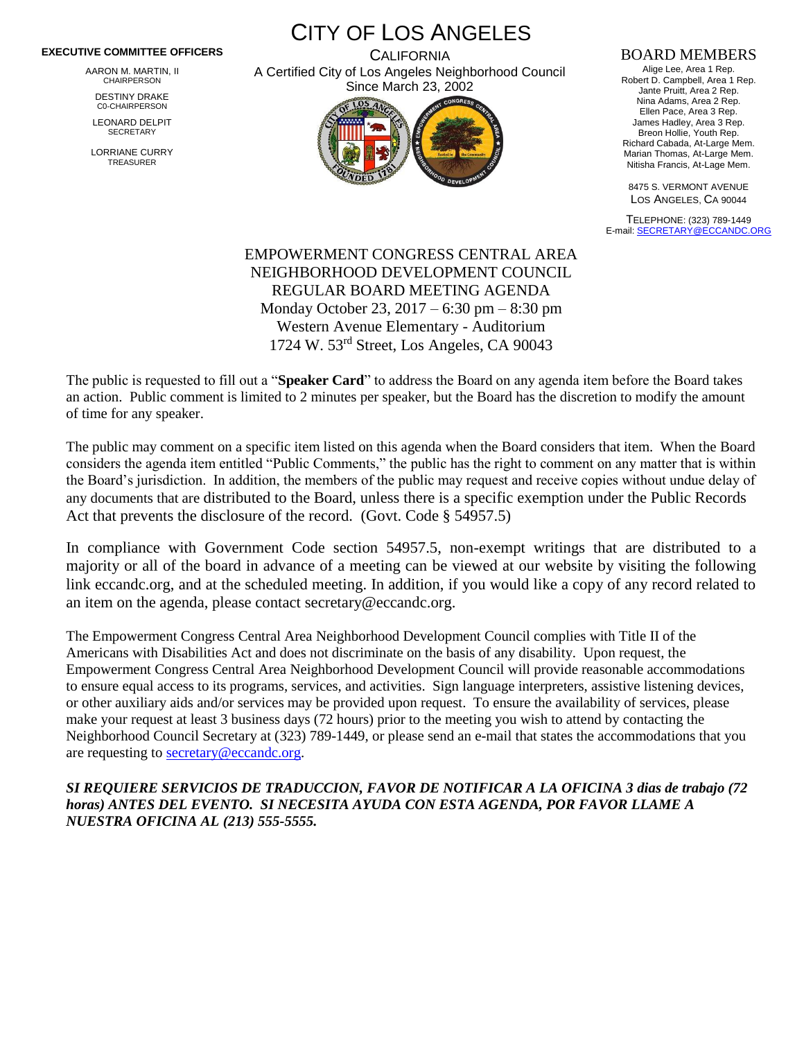## **EXECUTIVE COMMITTEE OFFICERS**

AARON M. MARTIN, II CHAIRPERSON

DESTINY DRAKE C0-CHAIRPERSON

LEONARD DELPIT **SECRETARY** 

LORRIANE CURRY TREASURER

CITY OF LOS ANGELES

**CALIFORNIA** A Certified City of Los Angeles Neighborhood Council Since March 23, 2002



## BOARD MEMBERS

Alige Lee, Area 1 Rep. Robert D. Campbell, Area 1 Rep. Jante Pruitt, Area 2 Rep. Nina Adams, Area 2 Rep. Ellen Pace, Area 3 Rep. James Hadley, Area 3 Rep. Breon Hollie, Youth Rep. Richard Cabada, At-Large Mem. Marian Thomas, At-Large Mem. Nitisha Francis, At-Lage Mem.

8475 S. VERMONT AVENUE LOS ANGELES, CA 90044

TELEPHONE: (323) 789-1449 E-mail[: SECRETARY@ECCANDC.ORG](mailto:SECRETARY@ECCANDC.ORG)

EMPOWERMENT CONGRESS CENTRAL AREA NEIGHBORHOOD DEVELOPMENT COUNCIL REGULAR BOARD MEETING AGENDA Monday October 23, 2017 – 6:30 pm – 8:30 pm Western Avenue Elementary - Auditorium 1724 W. 53rd Street, Los Angeles, CA 90043

The public is requested to fill out a "**Speaker Card**" to address the Board on any agenda item before the Board takes an action. Public comment is limited to 2 minutes per speaker, but the Board has the discretion to modify the amount of time for any speaker.

The public may comment on a specific item listed on this agenda when the Board considers that item. When the Board considers the agenda item entitled "Public Comments," the public has the right to comment on any matter that is within the Board's jurisdiction. In addition, the members of the public may request and receive copies without undue delay of any documents that are distributed to the Board, unless there is a specific exemption under the Public Records Act that prevents the disclosure of the record. (Govt. Code § 54957.5)

In compliance with Government Code section 54957.5, non-exempt writings that are distributed to a majority or all of the board in advance of a meeting can be viewed at our website by visiting the following link eccandc.org, and at the scheduled meeting. In addition, if you would like a copy of any record related to an item on the agenda, please contact secretary@eccandc.org.

The Empowerment Congress Central Area Neighborhood Development Council complies with Title II of the Americans with Disabilities Act and does not discriminate on the basis of any disability. Upon request, the Empowerment Congress Central Area Neighborhood Development Council will provide reasonable accommodations to ensure equal access to its programs, services, and activities. Sign language interpreters, assistive listening devices, or other auxiliary aids and/or services may be provided upon request. To ensure the availability of services, please make your request at least 3 business days (72 hours) prior to the meeting you wish to attend by contacting the Neighborhood Council Secretary at (323) 789-1449, or please send an e-mail that states the accommodations that you are requesting to [secretary@eccandc.org.](mailto:secretary@eccandc.org)

*SI REQUIERE SERVICIOS DE TRADUCCION, FAVOR DE NOTIFICAR A LA OFICINA 3 dias de trabajo (72 horas) ANTES DEL EVENTO. SI NECESITA AYUDA CON ESTA AGENDA, POR FAVOR LLAME A NUESTRA OFICINA AL (213) 555-5555.*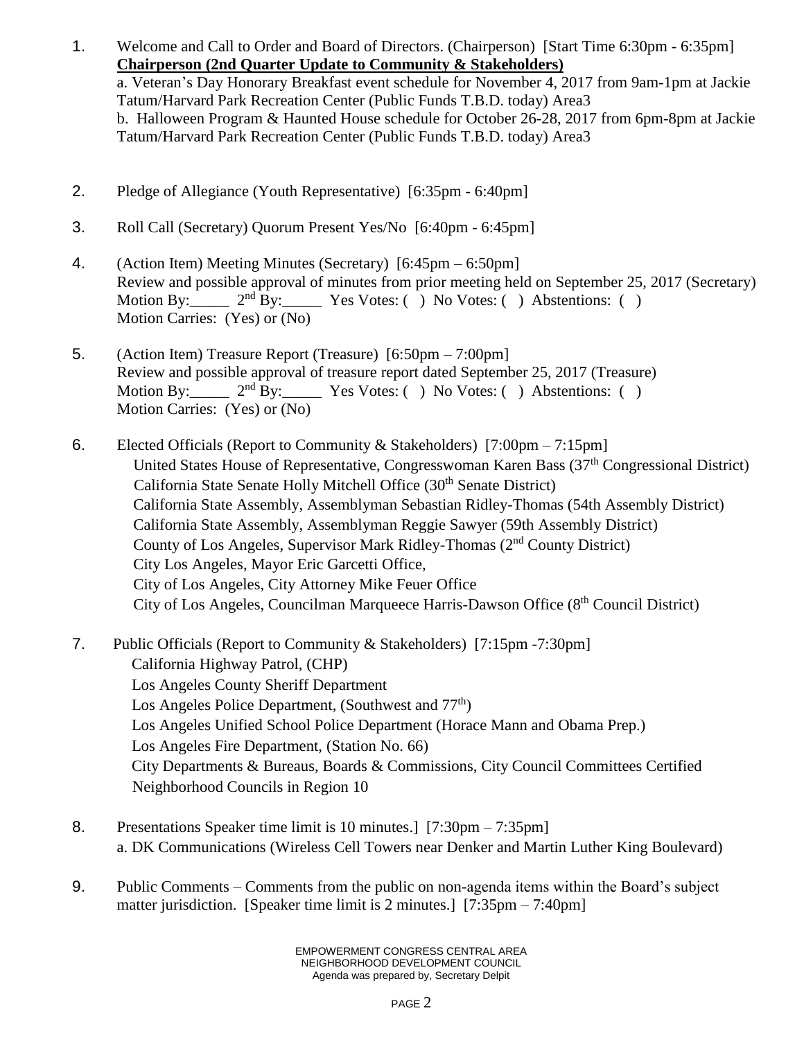- 1. Welcome and Call to Order and Board of Directors. (Chairperson) [Start Time 6:30pm 6:35pm] **Chairperson (2nd Quarter Update to Community & Stakeholders)** a. Veteran's Day Honorary Breakfast event schedule for November 4, 2017 from 9am-1pm at Jackie Tatum/Harvard Park Recreation Center (Public Funds T.B.D. today) Area3 b. Halloween Program & Haunted House schedule for October 26-28, 2017 from 6pm-8pm at Jackie Tatum/Harvard Park Recreation Center (Public Funds T.B.D. today) Area3
- 2. Pledge of Allegiance (Youth Representative) [6:35pm 6:40pm]
- 3. Roll Call (Secretary) Quorum Present Yes/No [6:40pm 6:45pm]
- 4. (Action Item) Meeting Minutes (Secretary) [6:45pm 6:50pm] Review and possible approval of minutes from prior meeting held on September 25, 2017 (Secretary) Motion By:  $2<sup>nd</sup>$  By: Yes Votes: ( ) No Votes: ( ) Abstentions: ( ) Motion Carries: (Yes) or (No)
- 5. (Action Item) Treasure Report (Treasure) [6:50pm 7:00pm] Review and possible approval of treasure report dated September 25, 2017 (Treasure) Motion By:  $2<sup>nd</sup>$  By: Yes Votes: ( ) No Votes: ( ) Abstentions: ( ) Motion Carries: (Yes) or (No)
- 6. Elected Officials (Report to Community & Stakeholders) [7:00pm 7:15pm] United States House of Representative, Congresswoman Karen Bass (37<sup>th</sup> Congressional District) California State Senate Holly Mitchell Office (30<sup>th</sup> Senate District) California State Assembly, Assemblyman Sebastian Ridley-Thomas (54th Assembly District) California State Assembly, Assemblyman Reggie Sawyer (59th Assembly District) County of Los Angeles, Supervisor Mark Ridley-Thomas (2nd County District) City Los Angeles, Mayor Eric Garcetti Office, City of Los Angeles, City Attorney Mike Feuer Office City of Los Angeles, Councilman Marqueece Harris-Dawson Office (8th Council District)
- 7. Public Officials (Report to Community & Stakeholders) [7:15pm -7:30pm] California Highway Patrol, (CHP) Los Angeles County Sheriff Department Los Angeles Police Department, (Southwest and 77<sup>th</sup>) Los Angeles Unified School Police Department (Horace Mann and Obama Prep.) Los Angeles Fire Department, (Station No. 66) City Departments & Bureaus, Boards & Commissions, City Council Committees Certified Neighborhood Councils in Region 10
- 8. Presentations Speaker time limit is 10 minutes.] [7:30pm 7:35pm] a. DK Communications (Wireless Cell Towers near Denker and Martin Luther King Boulevard)
- 9. Public Comments Comments from the public on non-agenda items within the Board's subject matter jurisdiction. [Speaker time limit is 2 minutes.] [7:35pm – 7:40pm]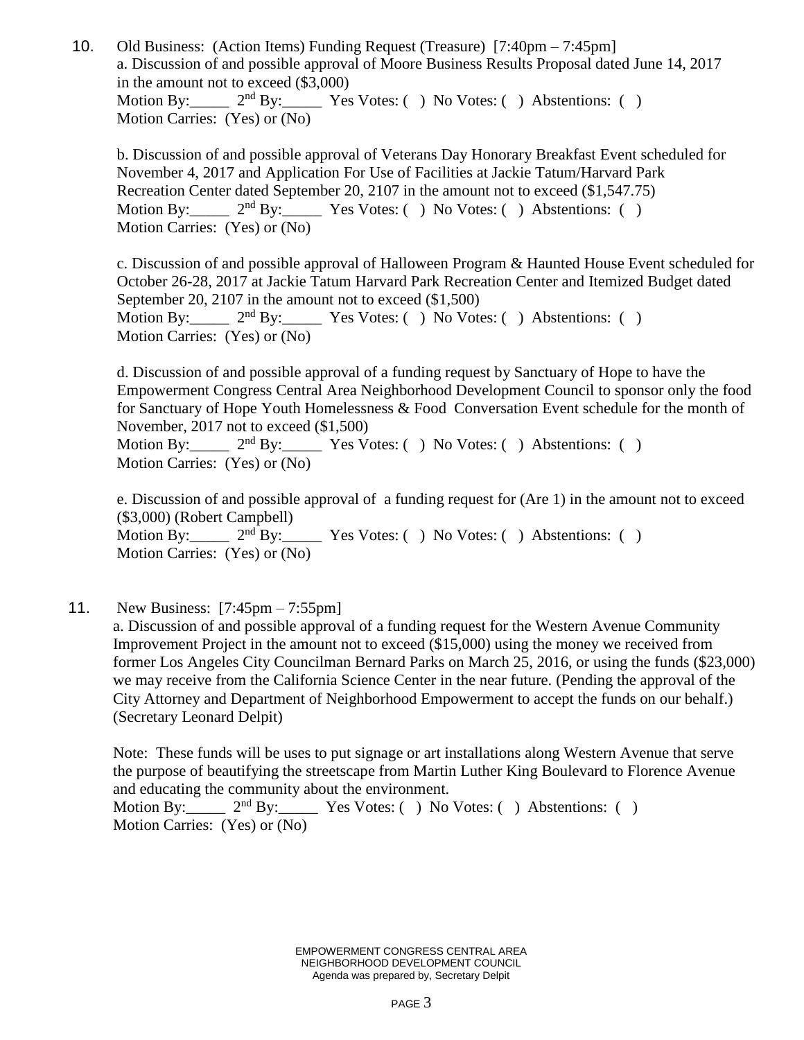10. Old Business: (Action Items) Funding Request (Treasure) [7:40pm – 7:45pm] a. Discussion of and possible approval of Moore Business Results Proposal dated June 14, 2017 in the amount not to exceed (\$3,000) Motion By: 2<sup>nd</sup> By: Yes Votes: ( ) No Votes: ( ) Abstentions: ( ) Motion Carries: (Yes) or (No)

b. Discussion of and possible approval of Veterans Day Honorary Breakfast Event scheduled for November 4, 2017 and Application For Use of Facilities at Jackie Tatum/Harvard Park Recreation Center dated September 20, 2107 in the amount not to exceed (\$1,547.75) Motion By:  $2<sup>nd</sup> By: Yes Votes: () No Votes: () Abstentions: ()$ Motion Carries: (Yes) or (No)

c. Discussion of and possible approval of Halloween Program & Haunted House Event scheduled for October 26-28, 2017 at Jackie Tatum Harvard Park Recreation Center and Itemized Budget dated September 20, 2107 in the amount not to exceed (\$1,500) Motion By:  $2<sup>nd</sup> By: Yes Votes: () No Votes: () Abstentions: ()$ Motion Carries: (Yes) or (No)

d. Discussion of and possible approval of a funding request by Sanctuary of Hope to have the Empowerment Congress Central Area Neighborhood Development Council to sponsor only the food for Sanctuary of Hope Youth Homelessness & Food Conversation Event schedule for the month of November, 2017 not to exceed  $(\$1,500)$ <br>Motion By: $\frac{\ }{2^{nd}}$  By: $\frac{\ }{2^{rd}}$  Yes Vo

Motion By:  $2<sup>nd</sup> By: Yes Votes: ( ) No Votes: ( ) Abstentions: ( )$ Motion Carries: (Yes) or (No)

e. Discussion of and possible approval of a funding request for (Are 1) in the amount not to exceed (\$3,000) (Robert Campbell) Motion By:  $2<sup>nd</sup>By:$  Yes Votes: ( ) No Votes: ( ) Abstentions: ( ) Motion Carries: (Yes) or (No)

11. New Business: [7:45pm – 7:55pm]

a. Discussion of and possible approval of a funding request for the Western Avenue Community Improvement Project in the amount not to exceed (\$15,000) using the money we received from former Los Angeles City Councilman Bernard Parks on March 25, 2016, or using the funds (\$23,000) we may receive from the California Science Center in the near future. (Pending the approval of the City Attorney and Department of Neighborhood Empowerment to accept the funds on our behalf.) (Secretary Leonard Delpit)

Note: These funds will be uses to put signage or art installations along Western Avenue that serve the purpose of beautifying the streetscape from Martin Luther King Boulevard to Florence Avenue and educating the community about the environment.

Motion By: 2<sup>nd</sup> By: Yes Votes: ( ) No Votes: ( ) Abstentions: ( ) Motion Carries: (Yes) or (No)

> EMPOWERMENT CONGRESS CENTRAL AREA NEIGHBORHOOD DEVELOPMENT COUNCIL Agenda was prepared by, Secretary Delpit